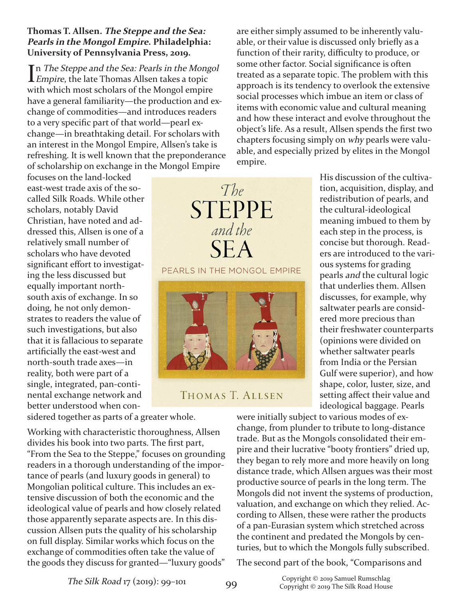## **Thomas T. Allsen. The Steppe and the Sea: Pearls in the Mongol Empire. Philadelphia: University of Pennsylvania Press, 2019.**

In *The Steppe and the Sea: Pearls in the Mongol*<br>*Empire*, the late Thomas Allsen takes a topic **L** Empire, the late Thomas Allsen takes a topic with which most scholars of the Mongol empire have a general familiarity—the production and exchange of commodities—and introduces readers to a very specific part of that world—pearl exchange—in breathtaking detail. For scholars with an interest in the Mongol Empire, Allsen's take is refreshing. It is well known that the preponderance of scholarship on exchange in the Mongol Empire

focuses on the land-locked east-west trade axis of the socalled Silk Roads. While other scholars, notably David Christian, have noted and addressed this, Allsen is one of a relatively small number of scholars who have devoted significant effort to investigating the less discussed but equally important northsouth axis of exchange. In so doing, he not only demonstrates to readers the value of such investigations, but also that it is fallacious to separate artificially the east-west and north-south trade axes—in reality, both were part of a single, integrated, pan-continental exchange network and better understood when con-

sidered together as parts of a greater whole.

Working with characteristic thoroughness, Allsen divides his book into two parts. The first part, "From the Sea to the Steppe," focuses on grounding readers in a thorough understanding of the importance of pearls (and luxury goods in general) to Mongolian political culture. This includes an extensive discussion of both the economic and the ideological value of pearls and how closely related those apparently separate aspects are. In this discussion Allsen puts the quality of his scholarship on full display. Similar works which focus on the exchange of commodities often take the value of the goods they discuss for granted—"luxury goods"

are either simply assumed to be inherently valuable, or their value is discussed only briefly as a function of their rarity, difficulty to produce, or some other factor. Social significance is often treated as a separate topic. The problem with this approach is its tendency to overlook the extensive social processes which imbue an item or class of items with economic value and cultural meaning and how these interact and evolve throughout the object's life. As a result, Allsen spends the first two chapters focusing simply on why pearls were valuable, and especially prized by elites in the Mongol empire.

> His discussion of the cultivation, acquisition, display, and redistribution of pearls, and the cultural-ideological meaning imbued to them by each step in the process, is concise but thorough. Readers are introduced to the various systems for grading pearls and the cultural logic that underlies them. Allsen discusses, for example, why saltwater pearls are considered more precious than their freshwater counterparts (opinions were divided on whether saltwater pearls from India or the Persian Gulf were superior), and how shape, color, luster, size, and setting affect their value and ideological baggage. Pearls

were initially subject to various modes of exchange, from plunder to tribute to long-distance trade. But as the Mongols consolidated their empire and their lucrative "booty frontiers" dried up, they began to rely more and more heavily on long distance trade, which Allsen argues was their most productive source of pearls in the long term. The Mongols did not invent the systems of production, valuation, and exchange on which they relied. According to Allsen, these were rather the products of a pan-Eurasian system which stretched across the continent and predated the Mongols by centuries, but to which the Mongols fully subscribed.

The second part of the book, "Comparisons and



The

THOMAS T. ALLSEN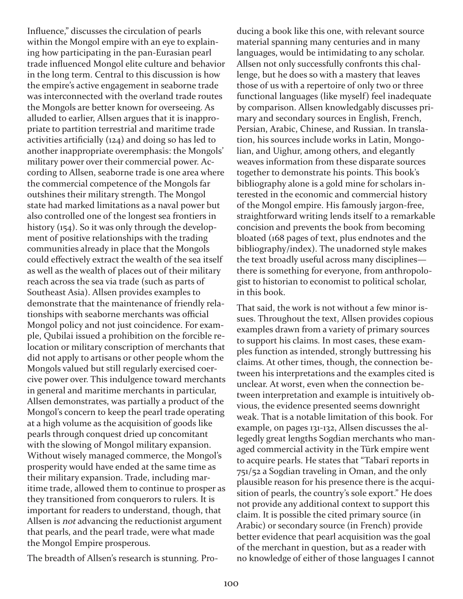Influence," discusses the circulation of pearls within the Mongol empire with an eye to explaining how participating in the pan-Eurasian pearl trade influenced Mongol elite culture and behavior in the long term. Central to this discussion is how the empire's active engagement in seaborne trade was interconnected with the overland trade routes the Mongols are better known for overseeing. As alluded to earlier, Allsen argues that it is inappropriate to partition terrestrial and maritime trade activities artificially (124) and doing so has led to another inappropriate overemphasis: the Mongols' military power over their commercial power. According to Allsen, seaborne trade is one area where the commercial competence of the Mongols far outshines their military strength. The Mongol state had marked limitations as a naval power but also controlled one of the longest sea frontiers in history (154). So it was only through the development of positive relationships with the trading communities already in place that the Mongols could effectively extract the wealth of the sea itself as well as the wealth of places out of their military reach across the sea via trade (such as parts of Southeast Asia). Allsen provides examples to demonstrate that the maintenance of friendly relationships with seaborne merchants was official Mongol policy and not just coincidence. For example, Qubilai issued a prohibition on the forcible relocation or military conscription of merchants that did not apply to artisans or other people whom the Mongols valued but still regularly exercised coercive power over. This indulgence toward merchants in general and maritime merchants in particular, Allsen demonstrates, was partially a product of the Mongol's concern to keep the pearl trade operating at a high volume as the acquisition of goods like pearls through conquest dried up concomitant with the slowing of Mongol military expansion. Without wisely managed commerce, the Mongol's prosperity would have ended at the same time as their military expansion. Trade, including maritime trade, allowed them to continue to prosper as they transitioned from conquerors to rulers. It is important for readers to understand, though, that Allsen is not advancing the reductionist argument that pearls, and the pearl trade, were what made the Mongol Empire prosperous.

The breadth of Allsen's research is stunning. Pro-

ducing a book like this one, with relevant source material spanning many centuries and in many languages, would be intimidating to any scholar. Allsen not only successfully confronts this challenge, but he does so with a mastery that leaves those of us with a repertoire of only two or three functional languages (like myself) feel inadequate by comparison. Allsen knowledgably discusses primary and secondary sources in English, French, Persian, Arabic, Chinese, and Russian. In translation, his sources include works in Latin, Mongolian, and Uighur, among others, and elegantly weaves information from these disparate sources together to demonstrate his points. This book's bibliography alone is a gold mine for scholars interested in the economic and commercial history of the Mongol empire. His famously jargon-free, straightforward writing lends itself to a remarkable concision and prevents the book from becoming bloated (168 pages of text, plus endnotes and the bibliography/index). The unadorned style makes the text broadly useful across many disciplines there is something for everyone, from anthropologist to historian to economist to political scholar, in this book.

That said, the work is not without a few minor issues. Throughout the text, Allsen provides copious examples drawn from a variety of primary sources to support his claims. In most cases, these examples function as intended, strongly buttressing his claims. At other times, though, the connection between his interpretations and the examples cited is unclear. At worst, even when the connection between interpretation and example is intuitively obvious, the evidence presented seems downright weak. That is a notable limitation of this book. For example, on pages 131-132, Allsen discusses the allegedly great lengths Sogdian merchants who managed commercial activity in the Türk empire went to acquire pearls. He states that "Tabarī reports in 751/52 a Sogdian traveling in Oman, and the only plausible reason for his presence there is the acquisition of pearls, the country's sole export." He does not provide any additional context to support this claim. It is possible the cited primary source (in Arabic) or secondary source (in French) provide better evidence that pearl acquisition was the goal of the merchant in question, but as a reader with no knowledge of either of those languages I cannot